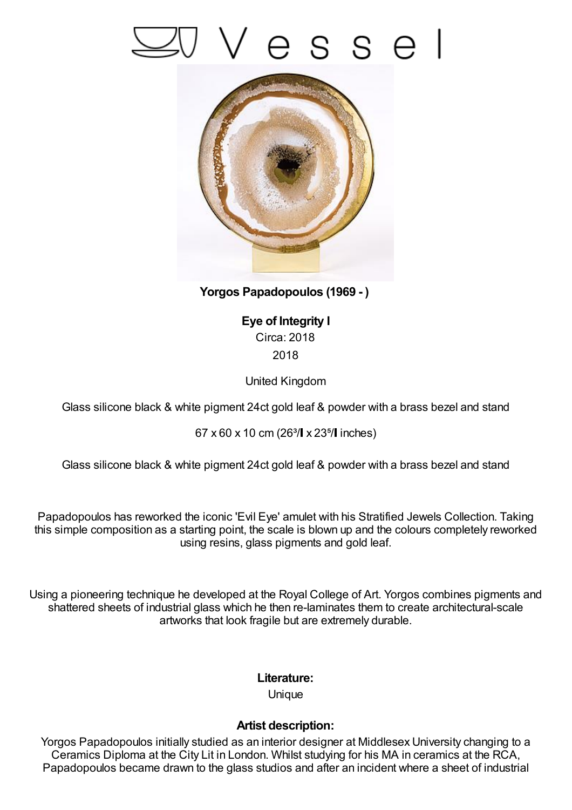## esse



**Yorgos Papadopoulos (1969 - )**

**Eye of Integrity I** Circa: 2018 2018

United Kingdom

Glass silicone black & white pigment 24ct gold leaf & powder with a brass bezel and stand

67 x 60 x 10 cm (26 $3/$  x 23 $5/$  inches)

Glass silicone black & white pigment 24ct gold leaf & powder with a brass bezel and stand

Papadopoulos has reworked the iconic 'Evil Eye' amulet with his Stratified Jewels Collection. Taking this simple composition as a starting point, the scale is blown up and the colours completely reworked using resins, glass pigments and gold leaf.

Using a pioneering technique he developed at the Royal College of Art. Yorgos combines pigments and shattered sheets of industrial glass which he then re-laminates them to create architectural-scale artworks that look fragile but are extremely durable.

## **Literature:**

**Unique** 

## **Artist description:**

Yorgos Papadopoulos initially studied as an interior designer at Middlesex University changing to a Ceramics Diploma at the City Lit in London. Whilst studying for his MA in ceramics at the RCA, Papadopoulos became drawn to the glass studios and after an incident where a sheet of industrial